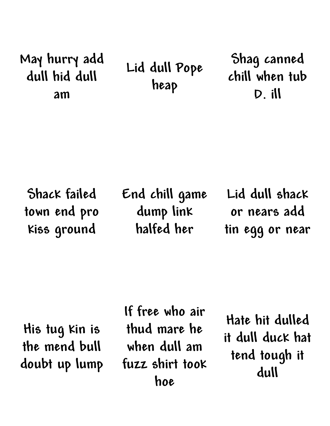## **May hurry add dull hid dull am**

**Lid dull Pope heap**

**Shag canned chill when tub D. ill**

**Shack failed town end pro kiss ground**

**End chill game dump link halfed her**

**Lid dull shack or nears add tin egg or near**

**His tug kin is the mend bull doubt up lump**

**If free who air thud mare he when dull am fuzz shirt took hoe**

**Hate hit dulled it dull duck hat tend tough it dull**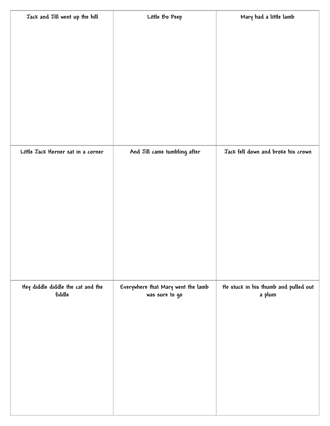| Jack and Jill went up the hill              | Little Bo Peep                     | Mary had a little lamb               |
|---------------------------------------------|------------------------------------|--------------------------------------|
|                                             |                                    |                                      |
|                                             |                                    |                                      |
|                                             |                                    |                                      |
|                                             |                                    |                                      |
|                                             |                                    |                                      |
|                                             |                                    |                                      |
|                                             |                                    |                                      |
|                                             |                                    |                                      |
|                                             |                                    |                                      |
|                                             |                                    |                                      |
|                                             |                                    |                                      |
| Little Jack Horner sat in a corner          | And Jill came tumbling after       | Jack fell down and broke his crown   |
|                                             |                                    |                                      |
|                                             |                                    |                                      |
|                                             |                                    |                                      |
|                                             |                                    |                                      |
|                                             |                                    |                                      |
|                                             |                                    |                                      |
|                                             |                                    |                                      |
|                                             |                                    |                                      |
|                                             |                                    |                                      |
|                                             |                                    |                                      |
|                                             |                                    |                                      |
| Hey diddle diddle the cat and the<br>fiddle | Everywhere that Mary went the lamb | He stuck in his thumb and pulled out |
|                                             | was sure to go                     | a plum                               |
|                                             |                                    |                                      |
|                                             |                                    |                                      |
|                                             |                                    |                                      |
|                                             |                                    |                                      |
|                                             |                                    |                                      |
|                                             |                                    |                                      |
|                                             |                                    |                                      |
|                                             |                                    |                                      |
|                                             |                                    |                                      |
|                                             |                                    |                                      |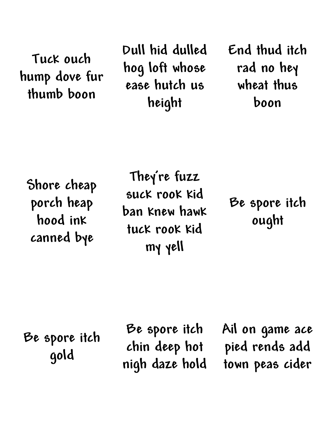**Tuck ouch hump dove fur thumb boon**

**Dull hid dulled hog loft whose ease hutch us height**

**End thud itch rad no hey wheat thus boon**

**Shore cheap porch heap hood ink canned bye**

**They're fuzz suck rook kid ban knew hawk tuck rook kid my yell**

**Be spore itch ought**

**Be spore itch gold**

**Be spore itch chin deep hot nigh daze hold**

**Ail on game ace pied rends add town peas cider**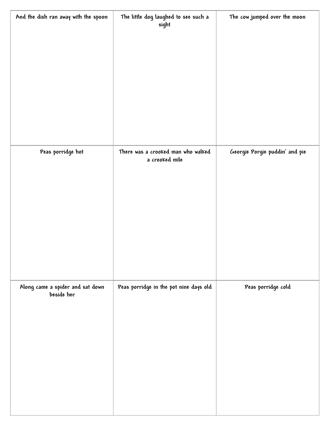| And the dish ran away with the spoon           | The little dog laughed to see such a<br>sight | The cow jumped over the moon   |
|------------------------------------------------|-----------------------------------------------|--------------------------------|
|                                                |                                               |                                |
|                                                |                                               |                                |
|                                                |                                               |                                |
|                                                |                                               |                                |
|                                                |                                               |                                |
| Peas porridge hot                              | There was a crooked man who walked            | Georgie Porgie puddin' and pie |
|                                                | a crooked mile                                |                                |
|                                                |                                               |                                |
|                                                |                                               |                                |
|                                                |                                               |                                |
|                                                |                                               |                                |
|                                                |                                               |                                |
| Along came a spider and sat down<br>beside her | Peas porridge in the pot nine days old        | Peas porridge cold             |
|                                                |                                               |                                |
|                                                |                                               |                                |
|                                                |                                               |                                |
|                                                |                                               |                                |
|                                                |                                               |                                |
|                                                |                                               |                                |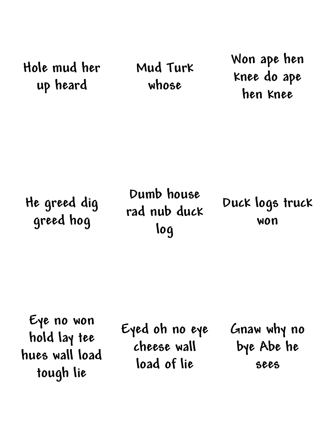**Hole mud her up heard**

**Mud Turk whose**

**Won ape hen knee do ape hen knee**

**He greed dig greed hog**

**Dumb house rad nub duck log**

**Duck logs truck won**

**Eye no won hold lay tee hues wall load tough lie**

**Eyed oh no eye cheese wall load of lie**

**Gnaw why no bye Abe he sees**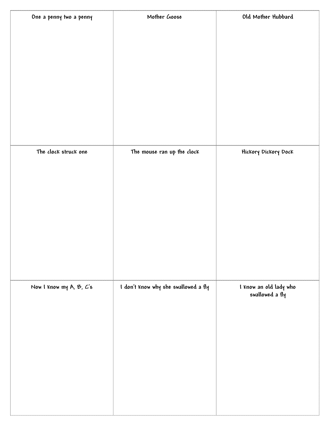| One a penny two a penny | Mother Goose                         | Old Mother Hubbard     |
|-------------------------|--------------------------------------|------------------------|
|                         |                                      |                        |
|                         |                                      |                        |
|                         |                                      |                        |
|                         |                                      |                        |
|                         |                                      |                        |
|                         |                                      |                        |
|                         |                                      |                        |
|                         |                                      |                        |
|                         |                                      |                        |
|                         |                                      |                        |
|                         |                                      |                        |
|                         |                                      |                        |
| The clock struck one    | The mouse ran up the clock           |                        |
|                         |                                      | Hickory Dickory Dock   |
|                         |                                      |                        |
|                         |                                      |                        |
|                         |                                      |                        |
|                         |                                      |                        |
|                         |                                      |                        |
|                         |                                      |                        |
|                         |                                      |                        |
|                         |                                      |                        |
|                         |                                      |                        |
|                         |                                      |                        |
|                         |                                      |                        |
|                         |                                      |                        |
| Now I know my A, B, C's | I don't know why she swallowed a fly | I know an old lady who |
|                         |                                      | swallowed a fly        |
|                         |                                      |                        |
|                         |                                      |                        |
|                         |                                      |                        |
|                         |                                      |                        |
|                         |                                      |                        |
|                         |                                      |                        |
|                         |                                      |                        |
|                         |                                      |                        |
|                         |                                      |                        |
|                         |                                      |                        |
|                         |                                      |                        |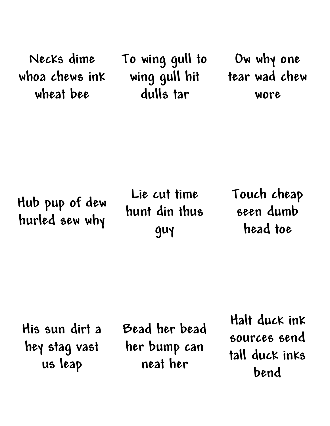**Necks dime whoa chews ink wheat bee**

**To wing gull to wing gull hit dulls tar**

**Ow why one tear wad chew wore**

**Hub pup of dew hurled sew why**

**Lie cut time hunt din thus guy**

**Touch cheap seen dumb head toe**

**His sun dirt a hey stag vast us leap**

**Bead her bead her bump can neat her**

**Halt duck ink sources send tall duck inks bend**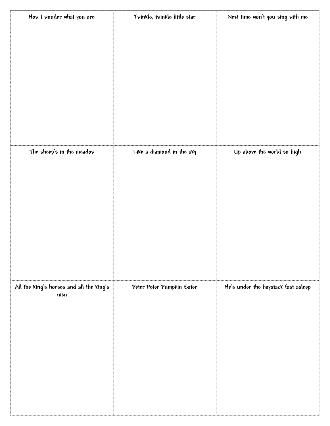| How I wonder what you are                | Twinkle, twinkle little star | Next time won't you sing with me    |
|------------------------------------------|------------------------------|-------------------------------------|
|                                          |                              |                                     |
|                                          |                              |                                     |
|                                          |                              |                                     |
|                                          |                              |                                     |
|                                          |                              |                                     |
|                                          |                              |                                     |
|                                          |                              |                                     |
|                                          |                              |                                     |
|                                          |                              |                                     |
|                                          |                              |                                     |
|                                          |                              |                                     |
|                                          |                              |                                     |
| The sheep's in the meadow                | Like a diamond in the sky    | Up above the world so high          |
|                                          |                              |                                     |
|                                          |                              |                                     |
|                                          |                              |                                     |
|                                          |                              |                                     |
|                                          |                              |                                     |
|                                          |                              |                                     |
|                                          |                              |                                     |
|                                          |                              |                                     |
|                                          |                              |                                     |
|                                          |                              |                                     |
|                                          |                              |                                     |
|                                          |                              |                                     |
| All the king's horses and all the king's | Peter Peter Pumpkin Eater    | He's under the haystack fast asleep |
| men                                      |                              |                                     |
|                                          |                              |                                     |
|                                          |                              |                                     |
|                                          |                              |                                     |
|                                          |                              |                                     |
|                                          |                              |                                     |
|                                          |                              |                                     |
|                                          |                              |                                     |
|                                          |                              |                                     |
|                                          |                              |                                     |
|                                          |                              |                                     |
|                                          |                              |                                     |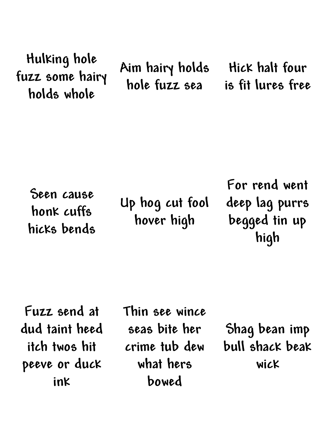**Hulking hole fuzz some hairy holds whole**

**Aim hairy holds hole fuzz sea**

**Hick halt four is fit lures free**

**Seen cause honk cuffs hicks bends**

**Up hog cut fool hover high**

**For rend went deep lag purrs begged tin up high**

**Fuzz send at dud taint heed itch twos hit peeve or duck ink**

**Thin see wince seas bite her crime tub dew what hers bowed**

**Shag bean imp bull shack beak wick**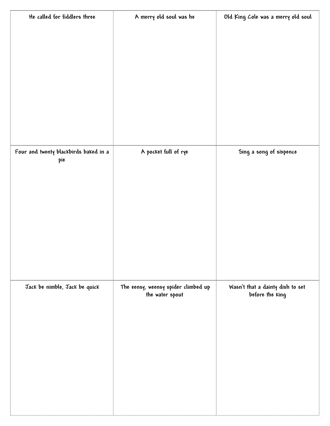| He called for fiddlers three                 | A merry old soul was he                                | Old King Cole was a merry old soul                  |
|----------------------------------------------|--------------------------------------------------------|-----------------------------------------------------|
|                                              |                                                        |                                                     |
|                                              |                                                        |                                                     |
|                                              |                                                        |                                                     |
|                                              |                                                        |                                                     |
|                                              |                                                        |                                                     |
|                                              |                                                        |                                                     |
|                                              |                                                        |                                                     |
|                                              |                                                        |                                                     |
|                                              |                                                        |                                                     |
|                                              |                                                        |                                                     |
| Four and twenty blackbirds baked in a<br>pie | A pocket full of rye                                   | Sing a song of sixpence                             |
|                                              |                                                        |                                                     |
|                                              |                                                        |                                                     |
|                                              |                                                        |                                                     |
|                                              |                                                        |                                                     |
|                                              |                                                        |                                                     |
|                                              |                                                        |                                                     |
|                                              |                                                        |                                                     |
|                                              |                                                        |                                                     |
|                                              |                                                        |                                                     |
| Jack be nimble, Jack be quick                | The eensy, weensy spider climbed up<br>the water spout | Wasn't that a dainty dish to set<br>before the king |
|                                              |                                                        |                                                     |
|                                              |                                                        |                                                     |
|                                              |                                                        |                                                     |
|                                              |                                                        |                                                     |
|                                              |                                                        |                                                     |
|                                              |                                                        |                                                     |
|                                              |                                                        |                                                     |
|                                              |                                                        |                                                     |
|                                              |                                                        |                                                     |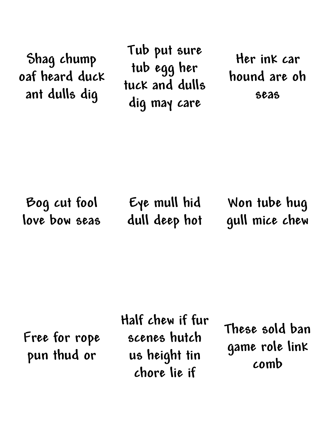**Shag chump oaf heard duck ant dulls dig**

**Tub put sure tub egg her tuck and dulls dig may care**

**Her ink car hound are oh seas**

**Bog cut fool love bow seas**

**Eye mull hid dull deep hot**

**Won tube hug gull mice chew**

**Free for rope pun thud or**

**Half chew if fur scenes hutch us height tin chore lie if**

**These sold ban game role link comb**